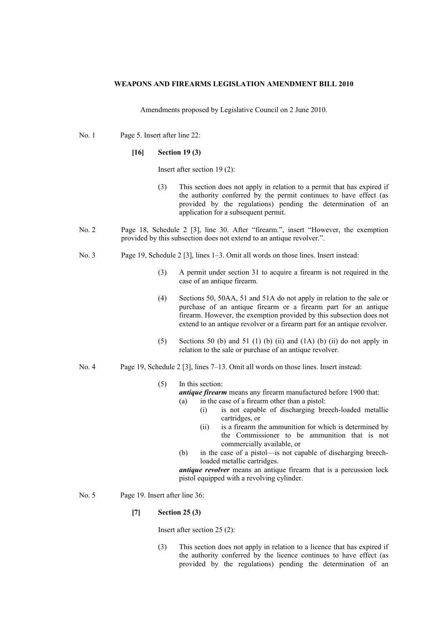## **WEAPONS AND FIREARMS LEGISLATION AMENDMENT BILL 2010**

Amendments proposed by Legislative Council on 2 June 2010.

No. 1 Page 5. Insert after line 22:

## **[16] Section 19 (3)**

Insert after section 19 (2):

- (3) This section does not apply in relation to a permit that has expired if the authority conferred by the permit continues to have effect (as provided by the regulations) pending the determination of an application for a subsequent permit.
- No. 2 Page 18, Schedule 2 [3], line 30. After "firearm.", insert "However, the exemption provided by this subsection does not extend to an antique revolver.".
- No. 3 Page 19, Schedule 2 [3], lines 1–3. Omit all words on those lines. Insert instead:
	- (3) A permit under section 31 to acquire a firearm is not required in the case of an antique firearm.
	- (4) Sections 50, 50AA, 51 and 51A do not apply in relation to the sale or purchase of an antique firearm or a firearm part for an antique firearm. However, the exemption provided by this subsection does not extend to an antique revolver or a firearm part for an antique revolver.
	- (5) Sections 50 (b) and 51 (1) (b) (ii) and  $(1A)$  (b) (ii) do not apply in relation to the sale or purchase of an antique revolver.
- No. 4 Page 19, Schedule 2 [3], lines 7–13. Omit all words on those lines. Insert instead:

### (5) In this section:

*antique firearm* means any firearm manufactured before 1900 that: (a) in the case of a firearm other than a pistol:

- (i) is not capable of discharging breech-loaded metallic cartridges, or
- (ii) is a firearm the ammunition for which is determined by the Commissioner to be ammunition that is not commercially available, or
- (b) in the case of a pistol—is not capable of discharging breechloaded metallic cartridges.

*antique revolver* means an antique firearm that is a percussion lock pistol equipped with a revolving cylinder.

No. 5 Page 19. Insert after line 36:

# **[7] Section 25 (3)**

Insert after section 25 (2):

(3) This section does not apply in relation to a licence that has expired if the authority conferred by the licence continues to have effect (as provided by the regulations) pending the determination of an